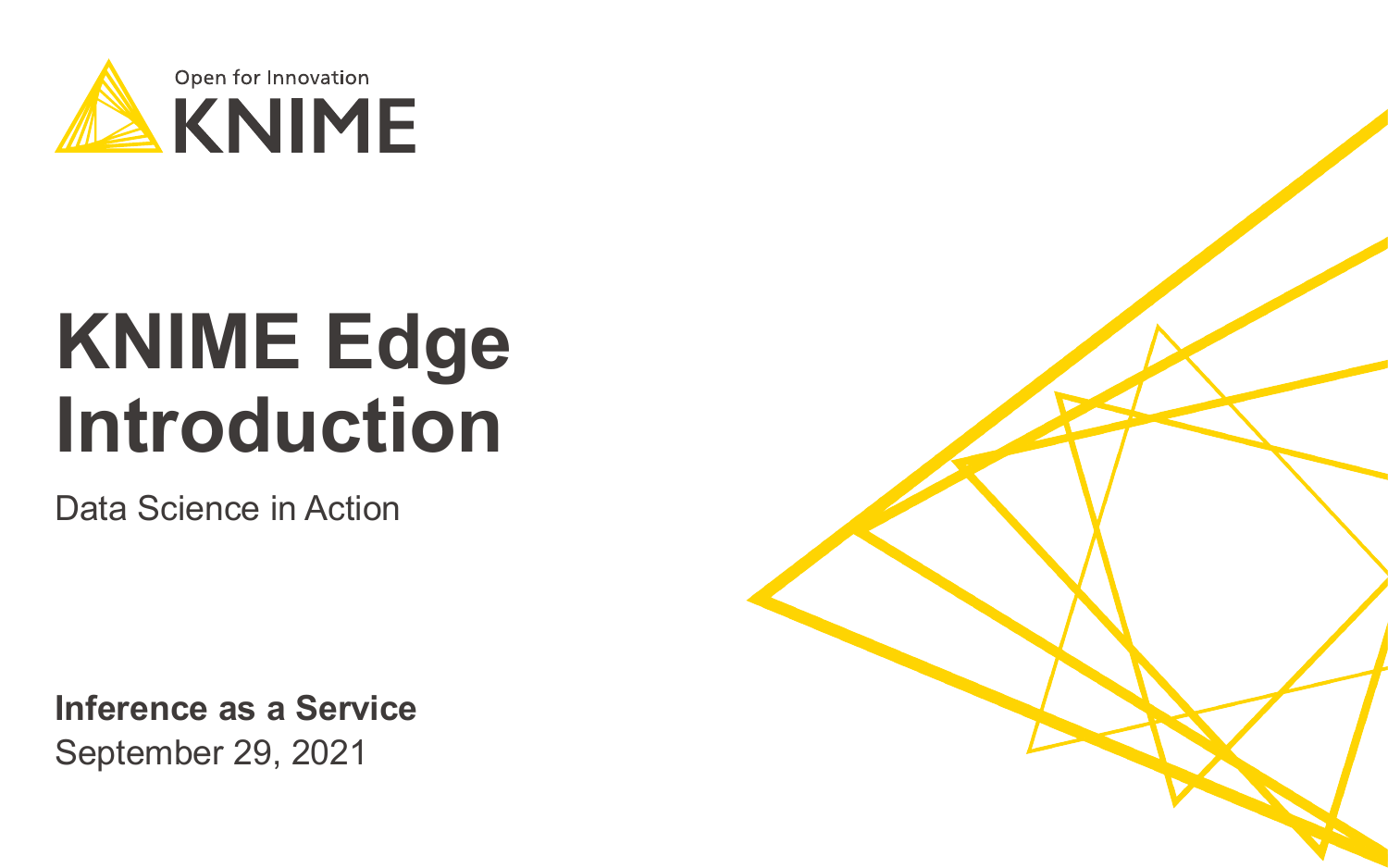

# **KNIME Edge Introduction**

Data Science in Action

September 29, 2021 **Inference as a Service**

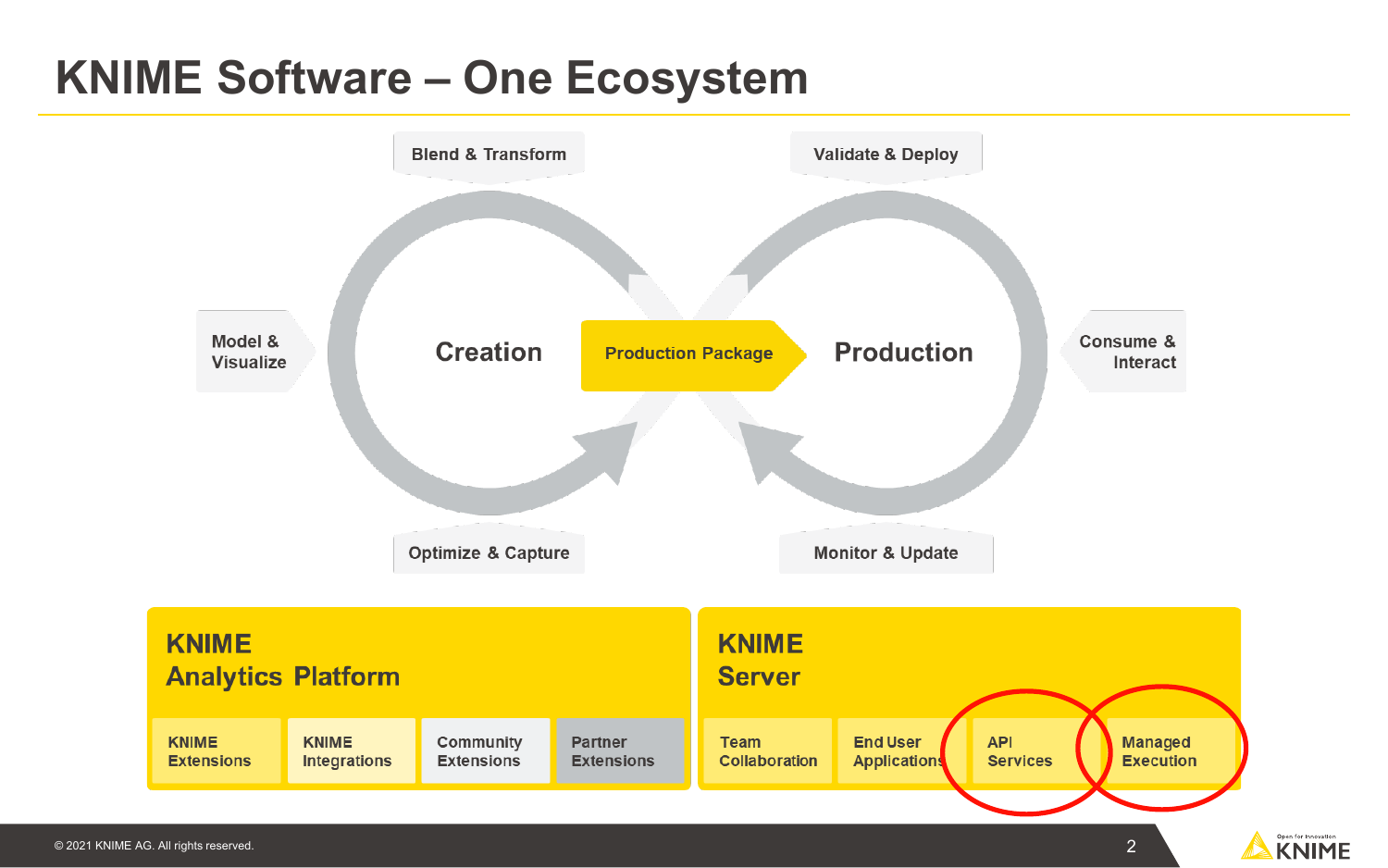### **KNIME Software – One Ecosystem**



2

Open for Innovation **KNIME**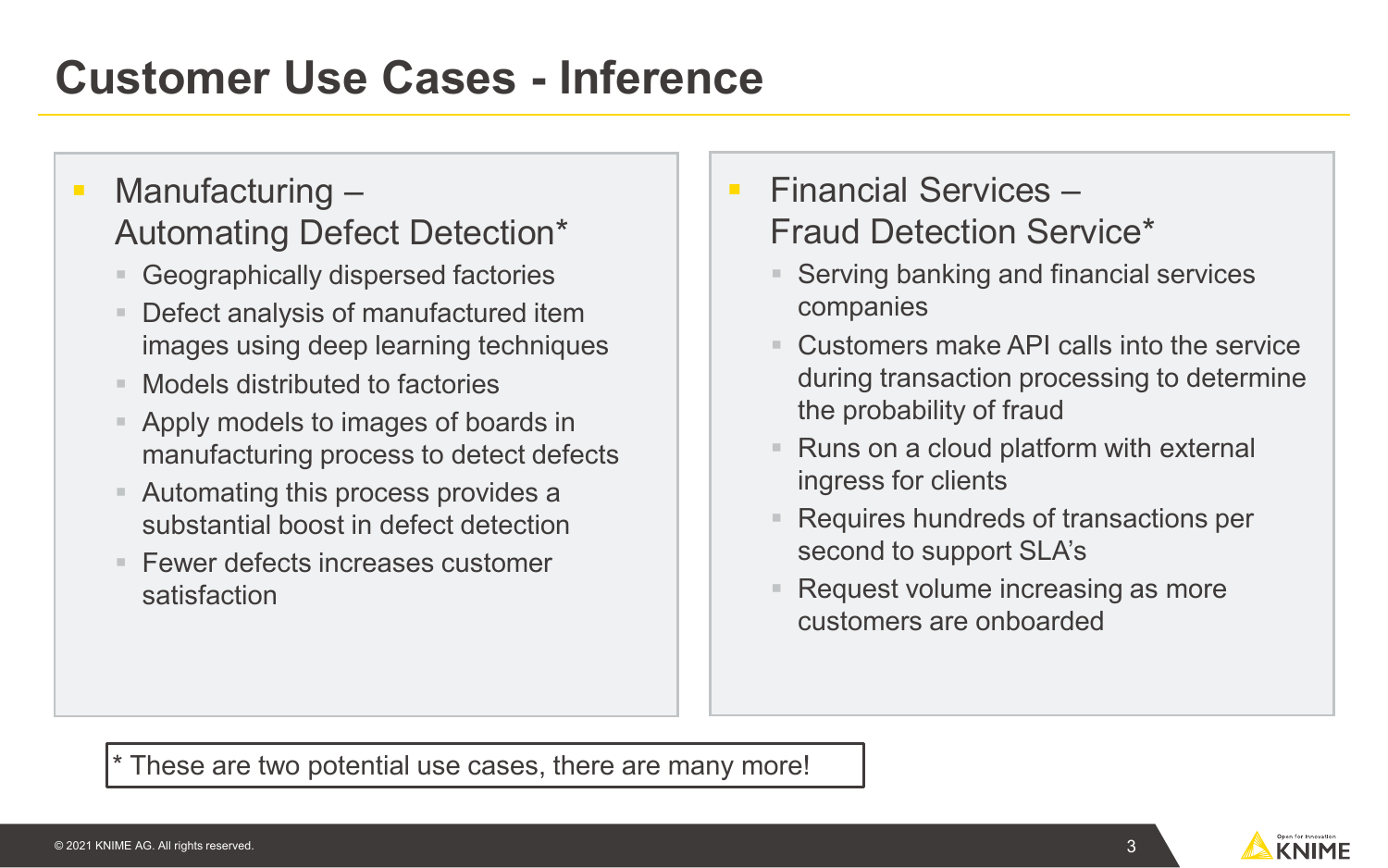### **Customer Use Cases - Inference**

#### • Manufacturing – Automating Defect Detection\*

- Geographically dispersed factories
- Defect analysis of manufactured item images using deep learning techniques
- Models distributed to factories
- Apply models to images of boards in manufacturing process to detect defects
- Automating this process provides a substantial boost in defect detection
- $\blacksquare$  Fewer defects increases customer satisfaction
- $\blacksquare$  Financial Services Fraud Detection Service\*
	- Serving banking and financial services companies
	- Customers make API calls into the service during transaction processing to determine the probability of fraud
	- Runs on a cloud platform with external ingress for clients
	- Requires hundreds of transactions per second to support SLA's
	- Request volume increasing as more customers are onboarded

\* These are two potential use cases, there are many more!

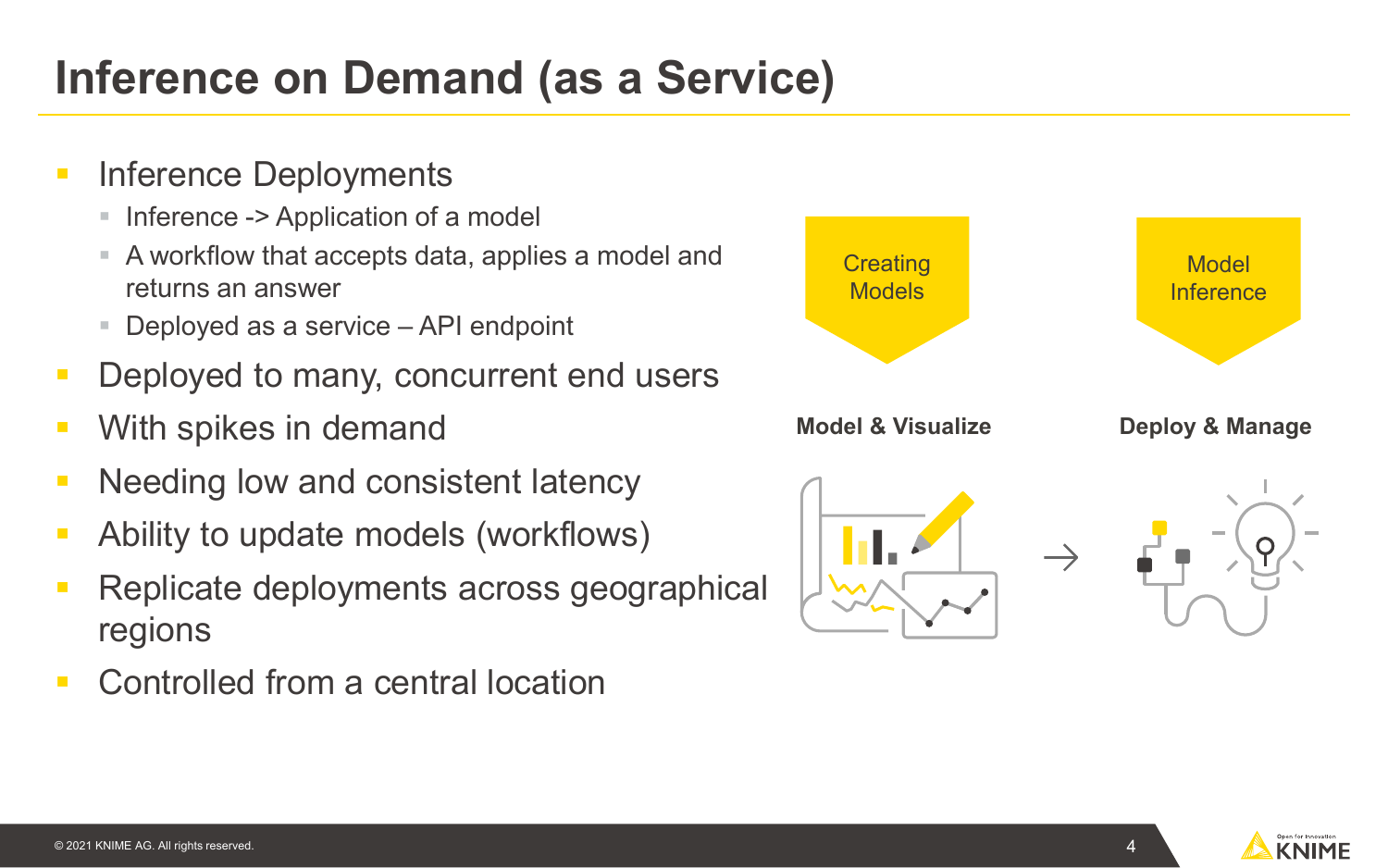### **Inference on Demand (as a Service)**

- Inference Deployments
	- Inference -> Application of a model
	- A workflow that accepts data, applies a model and returns an answer
	- Deployed as a service API endpoint
- Deployed to many, concurrent end users
- With spikes in demand
- Needing low and consistent latency
- Ability to update models (workflows)
- Replicate deployments across geographical regions
- Controlled from a central location

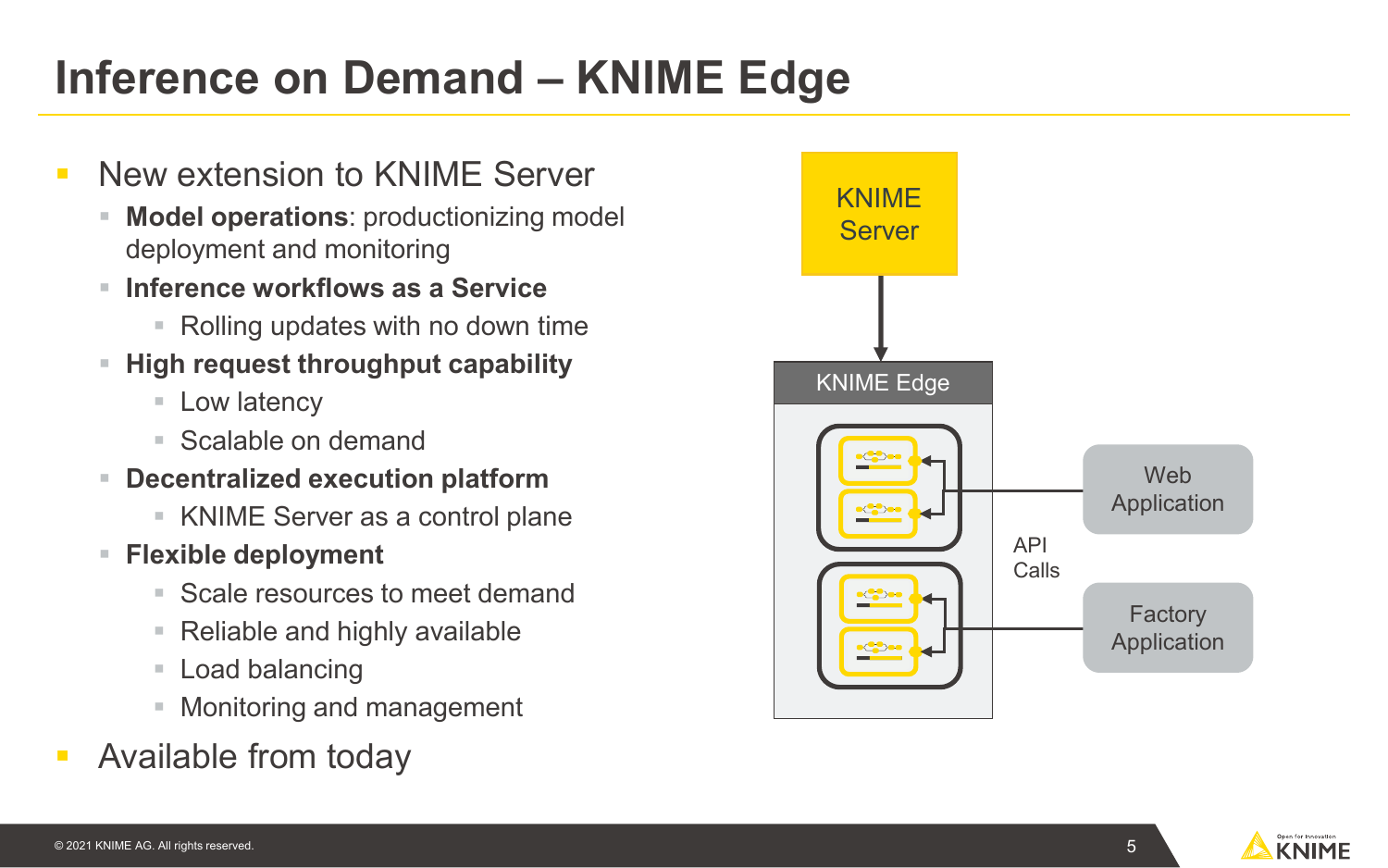### **Inference on Demand – KNIME Edge**

- New extension to KNIME Server
	- **Model operations**: productionizing model deployment and monitoring
	- **Inference workflows as a Service**
		- Rolling updates with no down time
	- **High request throughput capability** 
		- Low latency
		- Scalable on demand
	- **Decentralized execution platform**
		- KNIME Server as a control plane
	- **Flexible deployment**
		- Scale resources to meet demand
		- Reliable and highly available
		- Load balancing
		- **Monitoring and management**
- Available from today